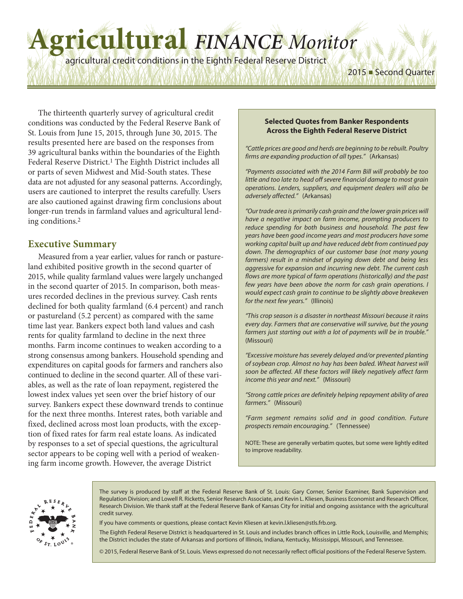# **Agricultural** *FINANCE Monitor*

agricultural credit conditions in the Eighth Federal Reserve District

The thirteenth quarterly survey of agricultural credit conditions was conducted by the Federal Reserve Bank of St. Louis from June 15, 2015, through June 30, 2015. The results presented here are based on the responses from 39 agricultural banks within the boundaries of the Eighth Federal Reserve District. 1 The Eighth District includes all or parts of seven Midwest and Mid-South states. These data are not adjusted for any seasonal patterns. Accordingly, users are cautioned to interpret the results carefully. Users are also cautioned against drawing firm conclusions about longer-run trends in farmland values and agricultural lending conditions. 2

# **Executive Summary**

Measured from a year earlier, values for ranch or pastureland exhibited positive growth in the second quarter of 2015, while quality farmland values were largely unchanged in the second quarter of 2015. In comparison, both measures recorded declines in the previous survey. Cash rents declined for both quality farmland (6.4 percent) and ranch or pastureland (5.2 percent) as compared with the same time last year. Bankers expect both land values and cash rents for quality farmland to decline in the next three months. Farm income continues to weaken according to a strong consensus among bankers. Household spending and expenditures on capital goods for farmers and ranchers also continued to decline in the second quarter. All of these variables, as well as the rate of loan repayment, registered the lowest index values yet seen over the brief history of our survey. Bankers expect these downward trends to continue for the next three months. Interest rates, both variable and fixed, declined across most loan products, with the exception of fixed rates for farm real estate loans. As indicated by responses to a set of special questions, the agricultural sector appears to be coping well with a period of weakening farm income growth. However, the average District

#### **Selected Quotes from Banker Respondents Across the Eighth Federal Reserve District**

2015 ■ Second Quarter

*"Cattle prices are good and herds are beginning to be rebuilt. Poultry firms are expanding production of all types."* (Arkansas)

*"Payments associated with the 2014 Farm Bill will probably be too little and too late to head off severe financial damage to most grain operations. Lenders, suppliers, and equipment dealers will also be adversely affected."* (Arkansas)

*"Our trade area is primarily cash grain and the lower grain prices will have a negative impact on farm income, prompting producers to reduce spending for both business and household. The past few years have been good income years and most producers have some working capital built up and have reduced debt from continued pay down. The demographics of our customer base (not many young farmers) result in a mindset of paying down debt and being less aggressive for expansion and incurring new debt. The current cash flows are more typical of farm operations (historically) and the past few years have been above the norm for cash grain operations. I would expect cash grain to continue to be slightly above breakeven for the next few years."* (Illinois)

*"This crop season is a disaster in northeast Missouri because it rains every day. Farmers that are conservative will survive, but the young farmers just starting out with a lot of payments will be in trouble."* (Missouri)

*"Excessive moisture has severely delayed and/or prevented planting of soybean crop. Almost no hay has been baled. Wheat harvest will soon be affected. All these factors will likely negatively affect farm income this year and next."* (Missouri)

*"Strong cattle prices are definitely helping repayment ability of area farmers."* (Missouri)

*"Farm segment remains solid and in good condition. Future prospects remain encouraging."* (Tennessee)

NOTE: These are generally verbatim quotes, but some were lightly edited to improve readability.



The survey is produced by staff at the Federal Reserve Bank of St. Louis: Gary Corner, Senior Examiner, Bank Supervision and Regulation Division; and Lowell R. Ricketts, Senior Research Associate, and Kevin L. Kliesen, Business Economist and Research Officer, Research Division. We thank staff at the Federal Reserve Bank of Kansas City for initial and ongoing assistance with the agricultural credit survey.

If you have comments or questions, please contact Kevin Kliesen at kevin.l.kliesen@stls.frb.org.

The Eighth Federal Reserve District is headquartered in St. Louis and includes branch offices in Little Rock, Louisville, and Memphis; the District includes the state of Arkansas and portions of Illinois, Indiana, Kentucky, Mississippi, Missouri, and Tennessee.

© 2015, Federal Reserve Bank of St. Louis. Views expressed do not necessarily reflect official positions of the Federal Reserve System.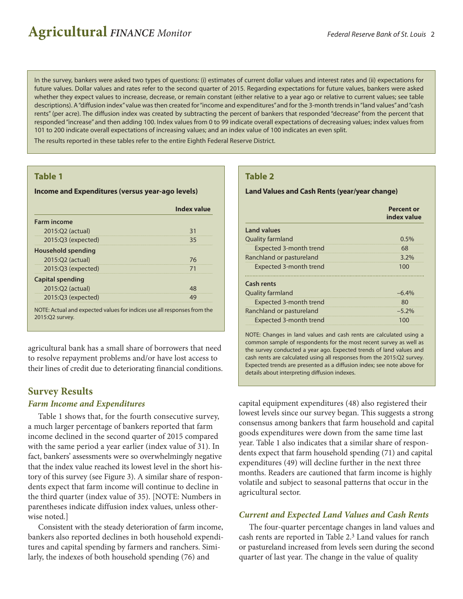In the survey, bankers were asked two types of questions: (i) estimates of current dollar values and interest rates and (ii) expectations for future values. Dollar values and rates refer to the second quarter of 2015. Regarding expectations for future values, bankers were asked whether they expect values to increase, decrease, or remain constant (either relative to a year ago or relative to current values; see table descriptions). A "diffusion index" value was then created for "income and expenditures" and for the 3-month trends in "land values" and "cash rents" (per acre). The diffusion index was created by subtracting the percent of bankers that responded "decrease" from the percent that responded"increase" and then adding 100. Index values from 0 to 99 indicate overall expectations of decreasing values; index values from 101 to 200 indicate overall expectations of increasing values; and an index value of 100 indicates an even split.

The results reported in these tables refer to the entire Eighth Federal Reserve District.

## **Table 1**

#### **Income and Expenditures (versus year-ago levels)**

|                         | <b>Index value</b> |
|-------------------------|--------------------|
| <b>Farm income</b>      |                    |
| 2015:02 (actual)        | 31                 |
| $2015:Q3$ (expected)    | 35                 |
| Household spending      |                    |
| 2015:Q2 (actual)        | 76                 |
| $2015:Q3$ (expected)    | 71                 |
| <b>Capital spending</b> |                    |
| 2015:Q2 (actual)        | 48                 |
| $2015:Q3$ (expected)    | 49                 |

NOTE: Actual and expected values for indices use all responses from the 2015:Q2 survey.

agricultural bank has a small share of borrowers that need to resolve repayment problems and/or have lost access to their lines of credit due to deteriorating financial conditions.

# **Survey Results**

## *Farm Income and Expenditures*

Table 1 shows that, for the fourth consecutive survey, a much larger percentage of bankers reported that farm income declined in the second quarter of 2015 compared with the same period a year earlier (index value of 31). In fact, bankers' assessments were so overwhelmingly negative that the index value reached its lowest level in the short history of this survey (see Figure 3). A similar share of respondents expect that farm income will continue to decline in the third quarter (index value of 35). [NOTE: Numbers in parentheses indicate diffusion index values, unless otherwise noted.]

Consistent with the steady deterioration of farm income, bankers also reported declines in both household expenditures and capital spending by farmers and ranchers. Similarly, the indexes of both household spending (76) and

## **Table 2**

#### **LandValues and Cash Rents (year/year change)**

|                          | <b>Percent or</b><br>index value |
|--------------------------|----------------------------------|
| <b>Land values</b>       |                                  |
| Quality farmland         | $0.5\%$                          |
| Expected 3-month trend   | 68                               |
| Ranchland or pastureland | 3.2%                             |
| Expected 3-month trend   | 100                              |
| Cash rents               |                                  |
| <b>Quality farmland</b>  | $-6.4%$                          |
| Expected 3-month trend   | 80                               |
| Ranchland or pastureland | $-5.2%$                          |
| Expected 3-month trend   | 100                              |

NOTE: Changes in land values and cash rents are calculated using a common sample of respondents for the most recent survey as well as the survey conducted a year ago. Expected trends of land values and cash rents are calculated using all responses from the 2015:Q2 survey. Expected trends are presented as a diffusion index; see note above for details about interpreting diffusion indexes.

capital equipment expenditures (48) also registered their lowest levels since our survey began. This suggests a strong consensus among bankers that farm household and capital goods expenditures were down from the same time last year. Table 1 also indicates that a similar share of respondents expect that farm household spending (71) and capital expenditures (49) will decline further in the next three months. Readers are cautioned that farm income is highly volatile and subject to seasonal patterns that occur in the agricultural sector.

# *Current and Expected Land Values and Cash Rents*

The four-quarter percentage changes in land values and cash rents are reported in Table 2. 3 Land values for ranch or pastureland increased from levels seen during the second quarter of last year. The change in the value of quality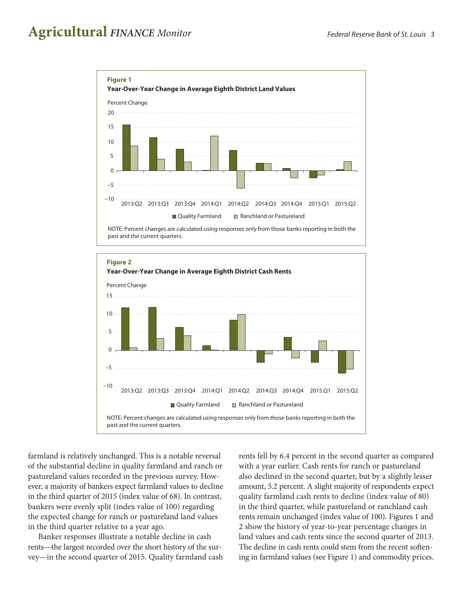

NOTE: Percent changes are calculated using responses only from those banks reporting in both the past and the current quarters.

farmland is relatively unchanged. This is a notable reversal of the substantial decline in quality farmland and ranch or pastureland values recorded in the previous survey. However, a majority of bankers expect farmland values to decline in the third quarter of 2015 (index value of 68). In contrast, bankers were evenly split (index value of 100) regarding the expected change for ranch or pastureland land values in the third quarter relative to a year ago.

Banker responses illustrate a notable decline in cash rents—the largest recorded over the short history of the survey—in the second quarter of 2015. Quality farmland cash rents fell by 6.4 percent in the second quarter as compared with a year earlier. Cash rents for ranch or pastureland also declined in the second quarter, but by a slightly lesser amount, 5.2 percent. A slight majority of respondents expect quality farmland cash rents to decline (index value of 80) in the third quarter, while pastureland or ranchland cash rents remain unchanged (index value of 100). Figures 1 and 2 show the history of year-to-year percentage changes in land values and cash rents since the second quarter of 2013. The decline in cash rents could stem from the recent softening in farmland values (see Figure 1) and commodity prices.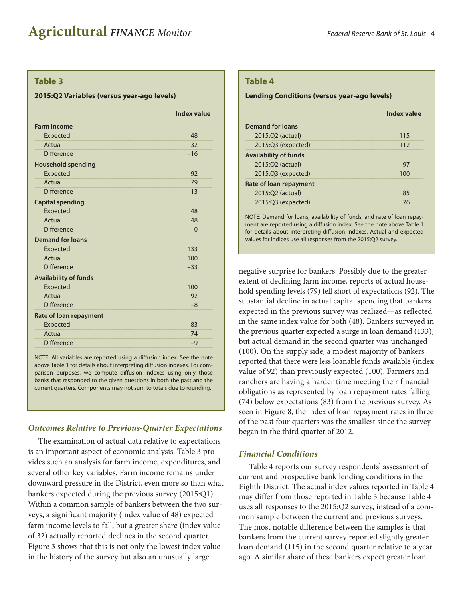#### **Table 3**

#### **2015:Q2 Variables (versus year-ago levels)**

|                              | <b>Index value</b> |
|------------------------------|--------------------|
| <b>Farm income</b>           |                    |
| Expected                     | 48                 |
| Actual                       | 32                 |
| <b>Difference</b>            | $-16$              |
| <b>Household spending</b>    |                    |
| <b>Expected</b>              | 92                 |
| Actual                       | 79                 |
| <b>Difference</b>            | $-13$              |
| <b>Capital spending</b>      |                    |
| <b>Expected</b>              | 48                 |
| Actual                       | 48                 |
| <b>Difference</b>            | $\Omega$           |
| <b>Demand for loans</b>      |                    |
| Expected                     | 133                |
| Actual                       | 100                |
| Difference                   | $-33$              |
| <b>Availability of funds</b> |                    |
| Expected                     | 100                |
| Actual                       | 92                 |
| <b>Difference</b>            | $-8$               |
| Rate of loan repayment       |                    |
| Expected                     | 83                 |
| Actual                       | 74                 |
| <b>Difference</b>            | $-9$               |
|                              |                    |

NOTE: All variables are reported using a diffusion index. See the note above Table 1 for details about interpreting diffusion indexes. For comparison purposes, we compute diffusion indexes using only those banks that responded to the given questions in both the past and the current quarters. Components may not sum to totals due to rounding.

#### *Outcomes Relative to Previous-Quarter Expectations*

The examination of actual data relative to expectations is an important aspect of economic analysis. Table 3 provides such an analysis for farm income, expenditures, and several other key variables. Farm income remains under downward pressure in the District, even more so than what bankers expected during the previous survey (2015:Q1). Within a common sample of bankers between the two surveys, a significant majority (index value of 48) expected farm income levels to fall, but a greater share (index value of 32) actually reported declines in the second quarter. Figure 3 shows that this is not only the lowest index value in the history of the survey but also an unusually large

#### **Table 4**

#### **Lending Conditions (versus year-ago levels)**

|                               | Index value |
|-------------------------------|-------------|
| <b>Demand for loans</b>       |             |
| 2015:Q2 (actual)              | 115         |
| 2015:Q3 (expected)            | 112         |
| <b>Availability of funds</b>  |             |
| 2015:Q2 (actual)              | 97          |
| 2015:Q3 (expected)            | 100         |
| <b>Rate of loan repayment</b> |             |
| 2015:Q2 (actual)              | 85          |
| 2015:Q3 (expected)            | 76          |

NOTE: Demand for loans, availability of funds, and rate of loan repayment are reported using a diffusion index. See the note above Table 1 for details about interpreting diffusion indexes. Actual and expected values for indices use all responses from the 2015:Q2 survey.

negative surprise for bankers. Possibly due to the greater extent of declining farm income, reports of actual household spending levels (79) fell short of expectations (92). The substantial decline in actual capital spending that bankers expected in the previous survey was realized—as reflected in the same index value for both (48). Bankers surveyed in the previous quarter expected a surge in loan demand (133), but actual demand in the second quarter was unchanged (100). On the supply side, a modest majority of bankers reported that there were less loanable funds available (index value of 92) than previously expected (100). Farmers and ranchers are having a harder time meeting their financial obligations as represented by loan repayment rates falling (74) below expectations (83) from the previous survey. As seen in Figure 8, the index of loan repayment rates in three of the past four quarters was the smallest since the survey began in the third quarter of 2012.

## *Financial Conditions*

Table 4 reports our survey respondents' assessment of current and prospective bank lending conditions in the Eighth District. The actual index values reported in Table 4 may differ from those reported in Table 3 because Table 4 uses all responses to the 2015:Q2 survey, instead of a common sample between the current and previous surveys. The most notable difference between the samples is that bankers from the current survey reported slightly greater loan demand (115) in the second quarter relative to a year ago. A similar share of these bankers expect greater loan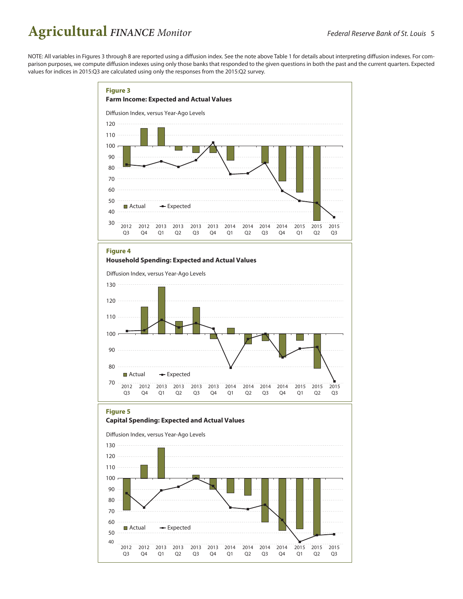NOTE: All variables in Figures 3 through 8 are reported using a diffusion index. See the note above Table 1 for details about interpreting diffusion indexes. For comparison purposes, we compute diffusion indexes using only those banks that responded to the given questions in both the past and the current quarters. Expected values for indices in 2015:Q3 are calculated using only the responses from the 2015:Q2 survey.

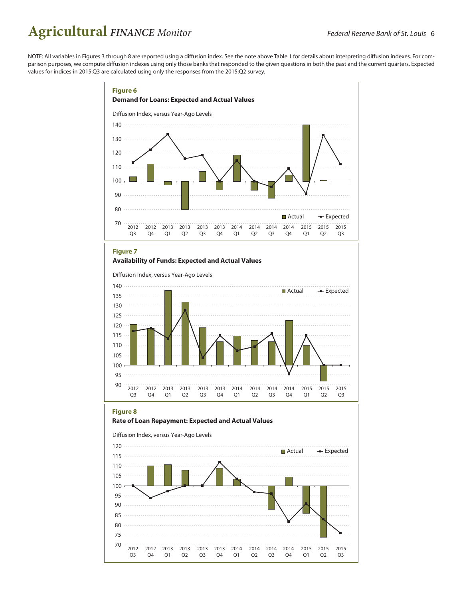2012

Q<sub>3</sub>

70 75

2012

Q4

2013

Q1

2013

 $Q2$ 

2013

Q<sub>3</sub>

2013

Q4

2014

Q1

2014

Q<sub>2</sub>

2014

Q<sub>3</sub>

2014

Q4

2015

Q1

2015

Q<sub>2</sub>

2015

Q<sub>3</sub>

NOTE: All variables in Figures 3 through 8 are reported using a diffusion index. See the note above Table 1 for details about interpreting diffusion indexes. For comparison purposes, we compute diffusion indexes using only those banks that responded to the given questions in both the past and the current quarters. Expected values for indices in 2015:Q3 are calculated using only the responses from the 2015:Q2 survey.

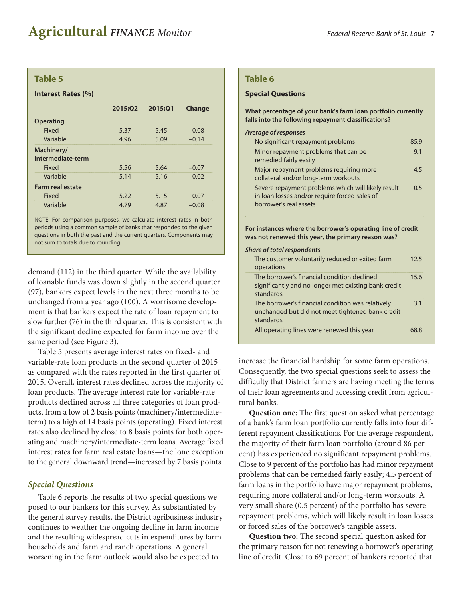## **Table 5**

#### **Interest Rates (%)**

| 2015:Q2 | 2015:01      | <b>Change</b> |
|---------|--------------|---------------|
|         |              |               |
| 5.37    | 5.45         | $-0.08$       |
|         | 5.09         | $-0.14$       |
|         |              |               |
| 5.56    | 5.64         | $-0.07$       |
| 5.14    | 5.16         | $-0.02$       |
|         |              |               |
| 5.22    | 5.15         | 0.07          |
|         | 4.87         | $-0.08$       |
|         | 4.96<br>4.79 |               |

NOTE: For comparison purposes, we calculate interest rates in both periods using a common sample of banks that responded to the given questions in both the past and the current quarters. Components may not sum to totals due to rounding.

demand (112) in the third quarter. While the availability of loanable funds was down slightly in the second quarter (97), bankers expect levels in the next three months to be unchanged from a year ago (100). A worrisome development is that bankers expect the rate of loan repayment to slow further (76) in the third quarter. This is consistent with the significant decline expected for farm income over the same period (see Figure 3).

Table 5 presents average interest rates on fixed- and variable-rate loan products in the second quarter of 2015 as compared with the rates reported in the first quarter of 2015. Overall, interest rates declined across the majority of loan products. The average interest rate for variable-rate products declined across all three categories of loan products, from a low of 2 basis points (machinery/intermediateterm) to a high of 14 basis points (operating). Fixed interest rates also declined by close to 8 basis points for both operating and machinery/intermediate-term loans. Average fixed interest rates for farm real estate loans—the lone exception to the general downward trend—increased by 7 basis points.

## *Special Questions*

Table 6 reports the results of two special questions we posed to our bankers for this survey. As substantiated by the general survey results, the District agribusiness industry continues to weather the ongoing decline in farm income and the resulting widespread cuts in expenditures by farm households and farm and ranch operations. A general worsening in the farm outlook would also be expected to

#### **Table 6**

#### **Special Questions**

**What percentage of your bank's farm loan portfolio currently falls into the following repayment classifications?**

#### *Average of responses*

| No significant repayment problems                                                                                             | 85 9 |
|-------------------------------------------------------------------------------------------------------------------------------|------|
| Minor repayment problems that can be<br>remedied fairly easily                                                                | 9.1  |
| Major repayment problems requiring more<br>collateral and/or long-term workouts                                               | 45   |
| Severe repayment problems which will likely result<br>in loan losses and/or require forced sales of<br>borrower's real assets | 0.5  |

**For instances where the borrower's operating line of credit was not renewed this year, the primary reason was?**

# *Share of total respondents*

| The customer voluntarily reduced or exited farm<br>operations                                                      | 125  |
|--------------------------------------------------------------------------------------------------------------------|------|
| The borrower's financial condition declined<br>significantly and no longer met existing bank credit<br>standards   | 15.6 |
| The borrower's financial condition was relatively<br>unchanged but did not meet tightened bank credit<br>standards | 3.1  |
| All operating lines were renewed this year                                                                         | 68 R |

increase the financial hardship for some farm operations. Consequently, the two special questions seek to assess the difficulty that District farmers are having meeting the terms of their loan agreements and accessing credit from agricultural banks.

**Question one:** The first question asked what percentage of a bank's farm loan portfolio currently falls into four different repayment classifications. For the average respondent, the majority of their farm loan portfolio (around 86 percent) has experienced no significant repayment problems. Close to 9 percent of the portfolio has had minor repayment problems that can be remedied fairly easily; 4.5 percent of farm loans in the portfolio have major repayment problems, requiring more collateral and/or long-term workouts. A very small share (0.5 percent) of the portfolio has severe repayment problems, which will likely result in loan losses or forced sales of the borrower's tangible assets.

**Question two:** The second special question asked for the primary reason for not renewing a borrower's operating line of credit. Close to 69 percent of bankers reported that